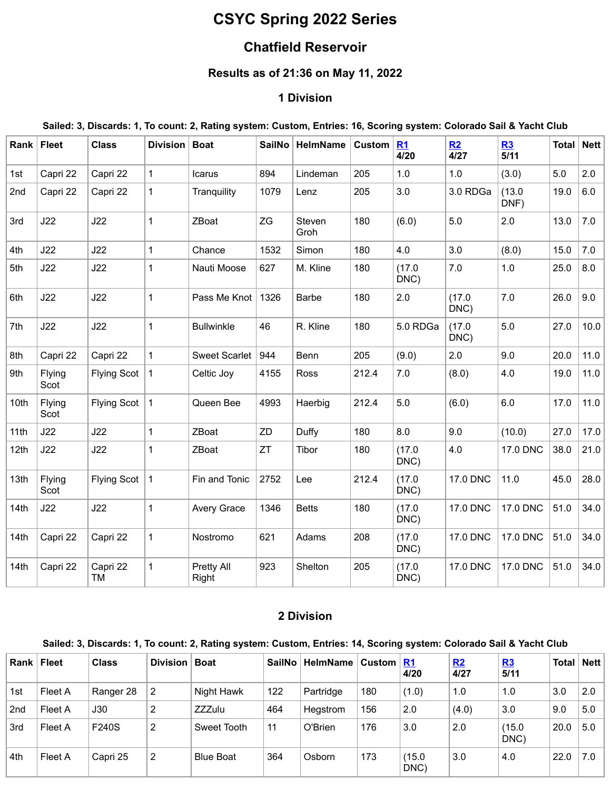# **CSYC Spring 2022 Series**

# **Chatfield Reservoir**

# **Results as of 21:36 on May 11, 2022**

#### **1 Division**

#### Sailed: 3, Discards: 1, To count: 2, Rating system: Custom, Entries: 16, Scoring system: Colorado Sail & Yacht Club

| Rank | <b>Fleet</b>   | <b>Class</b>       | Division     | <b>Boat</b>          | SailNo | <b>HelmName</b> | <b>Custom</b> | R1<br>4/20     | R2<br>4/27     | R3<br>5/11     | <b>Total</b> | <b>Nett</b> |
|------|----------------|--------------------|--------------|----------------------|--------|-----------------|---------------|----------------|----------------|----------------|--------------|-------------|
| 1st  | Capri 22       | Capri 22           | $\mathbf{1}$ | Icarus               | 894    | Lindeman        | 205           | 1.0            | 1.0            | (3.0)          | 5.0          | 2.0         |
| 2nd  | Capri 22       | Capri 22           | $\mathbf{1}$ | Tranquility          | 1079   | Lenz            | 205           | 3.0            | 3.0 RDGa       | (13.0)<br>DNF) | 19.0         | 6.0         |
| 3rd  | J22            | J22                | 1            | ZBoat                | ZG     | Steven<br>Groh  | 180           | (6.0)          | 5.0            | 2.0            | 13.0         | 7.0         |
| 4th  | J22            | J22                | $\mathbf{1}$ | Chance               | 1532   | Simon           | 180           | 4.0            | 3.0            | (8.0)          | 15.0         | 7.0         |
| 5th  | J22            | J22                | 1            | Nauti Moose          | 627    | M. Kline        | 180           | (17.0)<br>DNC) | 7.0            | 1.0            | 25.0         | 8.0         |
| 6th  | J22            | J22                | 1            | Pass Me Knot         | 1326   | <b>Barbe</b>    | 180           | 2.0            | (17.0)<br>DNC) | 7.0            | 26.0         | 9.0         |
| 7th  | J22            | J22                | 1            | <b>Bullwinkle</b>    | 46     | R. Kline        | 180           | 5.0 RDGa       | (17.0)<br>DNC) | 5.0            | 27.0         | 10.0        |
| 8th  | Capri 22       | Capri 22           | 1            | <b>Sweet Scarlet</b> | 944    | Benn            | 205           | (9.0)          | 2.0            | 9.0            | 20.0         | 11.0        |
| 9th  | Flying<br>Scot | <b>Flying Scot</b> | 1            | Celtic Joy           | 4155   | Ross            | 212.4         | 7.0            | (8.0)          | 4.0            | 19.0         | 11.0        |
| 10th | Flying<br>Scot | <b>Flying Scot</b> | 1            | Queen Bee            | 4993   | Haerbig         | 212.4         | 5.0            | (6.0)          | 6.0            | 17.0         | 11.0        |
| 11th | J22            | J22                | 1            | ZBoat                | ZD     | Duffy           | 180           | 8.0            | 9.0            | (10.0)         | 27.0         | 17.0        |
| 12th | J22            | J22                | 1            | ZBoat                | ZT     | Tibor           | 180           | (17.0)<br>DNC) | 4.0            | 17.0 DNC       | 38.0         | 21.0        |
| 13th | Flying<br>Scot | <b>Flying Scot</b> | 1            | Fin and Tonic        | 2752   | Lee             | 212.4         | (17.0)<br>DNC) | 17.0 DNC       | 11.0           | 45.0         | 28.0        |
| 14th | J22            | J22                | 1            | <b>Avery Grace</b>   | 1346   | <b>Betts</b>    | 180           | (17.0)<br>DNC) | 17.0 DNC       | 17.0 DNC       | 51.0         | 34.0        |
| 14th | Capri 22       | Capri 22           | 1            | Nostromo             | 621    | Adams           | 208           | (17.0)<br>DNC) | 17.0 DNC       | 17.0 DNC       | 51.0         | 34.0        |
| 14th | Capri 22       | Capri 22<br>TM     | 1            | Pretty All<br>Right  | 923    | Shelton         | 205           | (17.0)<br>DNC) | 17.0 DNC       | 17.0 DNC       | 51.0         | 34.0        |

# **2 Division**

#### Sailed: 3, Discards: 1, To count: 2, Rating system: Custom, Entries: 14, Scoring system: Colorado Sail & Yacht Club

| Rank            | <b>Fleet</b> | <b>Class</b> | Division | <b>Boat</b>      | <b>SailNo</b> | HelmName  | <b>Custom</b> | <u>R1</u><br>4/20 | R2<br>4/27 | R3<br>5/11     | Total | <b>Nett</b> |
|-----------------|--------------|--------------|----------|------------------|---------------|-----------|---------------|-------------------|------------|----------------|-------|-------------|
| 1st             | Fleet A      | Ranger 28    | 2        | Night Hawk       | 122           | Partridge | 180           | (1.0)             | 1.0        | 1.0            | 3.0   | 2.0         |
| 2 <sub>nd</sub> | Fleet A      | <b>J30</b>   | 2        | <b>ZZZulu</b>    | 464           | Heastrom  | 156           | 2.0               | (4.0)      | 3.0            | 9.0   | 5.0         |
| 3rd             | Fleet A      | F240S        | 2        | Sweet Tooth      | 11            | O'Brien   | 176           | 3.0               | 2.0        | (15.0)<br>DNC) | 20.0  | 5.0         |
| 4th             | Fleet A      | Capri 25     | 2        | <b>Blue Boat</b> | 364           | Osborn    | 173           | (15.0)<br>DNC)    | 3.0        | 4.0            | 22.0  | 7.0         |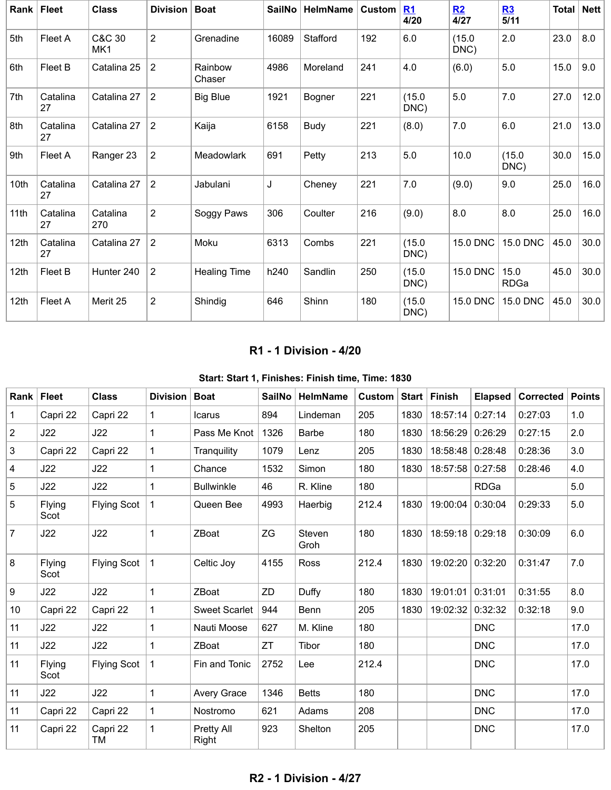|                  | Rank   Fleet   | <b>Class</b>              | <b>Division</b> | <b>Boat</b>         | SailNo | <b>HelmName</b> | Custom | R1<br>4/20     | R2<br>4/27      | R3<br>5/11          | Total | <b>Nett</b> |
|------------------|----------------|---------------------------|-----------------|---------------------|--------|-----------------|--------|----------------|-----------------|---------------------|-------|-------------|
| 5th              | Fleet A        | C&C 30<br>MK <sub>1</sub> | $\overline{2}$  | Grenadine           | 16089  | Stafford        | 192    | 6.0            | (15.0)<br>DNC)  | 2.0                 | 23.0  | 8.0         |
| 6th              | Fleet B        | Catalina 25               | 2               | Rainbow<br>Chaser   | 4986   | Moreland        | 241    | 4.0            | (6.0)           | 5.0                 | 15.0  | 9.0         |
| 7th              | Catalina<br>27 | Catalina 27               | $\overline{2}$  | <b>Big Blue</b>     | 1921   | Bogner          | 221    | (15.0)<br>DNC) | 5.0             | 7.0                 | 27.0  | 12.0        |
| 8th              | Catalina<br>27 | Catalina 27               | $\overline{2}$  | Kaija               | 6158   | Budy            | 221    | (8.0)          | 7.0             | 6.0                 | 21.0  | 13.0        |
| 9th              | Fleet A        | Ranger 23                 | $\overline{2}$  | Meadowlark          | 691    | Petty           | 213    | 5.0            | 10.0            | (15.0)<br>DNC)      | 30.0  | 15.0        |
| 10th             | Catalina<br>27 | Catalina 27               | $\overline{2}$  | Jabulani            | J      | Cheney          | 221    | 7.0            | (9.0)           | 9.0                 | 25.0  | 16.0        |
| 11th             | Catalina<br>27 | Catalina<br>270           | $\overline{2}$  | Soggy Paws          | 306    | Coulter         | 216    | (9.0)          | 8.0             | 8.0                 | 25.0  | 16.0        |
| 12 <sub>th</sub> | Catalina<br>27 | Catalina 27               | $\overline{2}$  | Moku                | 6313   | Combs           | 221    | (15.0)<br>DNC) | <b>15.0 DNC</b> | 15.0 DNC            | 45.0  | 30.0        |
| 12th             | Fleet B        | Hunter 240                | $\overline{2}$  | <b>Healing Time</b> | h240   | Sandlin         | 250    | (15.0)<br>DNC) | 15.0 DNC        | 15.0<br><b>RDGa</b> | 45.0  | 30.0        |
| 12th             | <b>Fleet A</b> | Merit 25                  | $\overline{2}$  | Shindig             | 646    | Shinn           | 180    | (15.0)<br>DNC) | 15.0 DNC        | <b>15.0 DNC</b>     | 45.0  | 30.0        |

# **R1 - 1 Division - 4/20**

<span id="page-1-0"></span>

| Rank           | <b>Fleet</b>   | <b>Class</b>       | Division     | <b>Boat</b>          | <b>SailNo</b> | HelmName       | Custom |      | Start Finish     | <b>Elapsed</b> | <b>Corrected</b> | <b>Points</b> |
|----------------|----------------|--------------------|--------------|----------------------|---------------|----------------|--------|------|------------------|----------------|------------------|---------------|
| 1              | Capri 22       | Capri 22           | $\mathbf{1}$ | Icarus               | 894           | Lindeman       | 205    | 1830 | 18:57:14         | 0:27:14        | 0:27:03          | 1.0           |
| $\overline{2}$ | J22            | J22                | $\mathbf{1}$ | Pass Me Knot         | 1326          | <b>Barbe</b>   | 180    | 1830 | 18:56:29         | 0:26:29        | 0:27:15          | 2.0           |
| 3              | Capri 22       | Capri 22           | 1            | Tranquility          | 1079          | Lenz           | 205    | 1830 | 18:58:48         | 0:28:48        | 0:28:36          | 3.0           |
| $\overline{4}$ | J22            | J22                | $\mathbf{1}$ | Chance               | 1532          | Simon          | 180    | 1830 | 18:57:58         | 0:27:58        | 0:28:46          | 4.0           |
| 5              | J22            | J22                | $\mathbf{1}$ | <b>Bullwinkle</b>    | 46            | R. Kline       | 180    |      |                  | <b>RDGa</b>    |                  | 5.0           |
| 5              | Flying<br>Scot | <b>Flying Scot</b> | $\mathbf{1}$ | Queen Bee            | 4993          | Haerbig        | 212.4  | 1830 | 19:00:04         | 0:30:04        | 0:29:33          | 5.0           |
| $\overline{7}$ | J22            | J22                | 1            | ZBoat                | ZG            | Steven<br>Groh | 180    | 1830 | 18:59:18 0:29:18 |                | 0:30:09          | 6.0           |
| 8              | Flying<br>Scot | <b>Flying Scot</b> | $\mathbf{1}$ | Celtic Joy           | 4155          | Ross           | 212.4  | 1830 | 19:02:20         | 0:32:20        | 0:31:47          | 7.0           |
| 9              | J22            | J22                | $\mathbf{1}$ | ZBoat                | ZD            | Duffy          | 180    | 1830 | 19:01:01         | 0:31:01        | 0:31:55          | 8.0           |
| 10             | Capri 22       | Capri 22           | $\mathbf 1$  | <b>Sweet Scarlet</b> | 944           | Benn           | 205    | 1830 | 19:02:32         | 0:32:32        | 0:32:18          | 9.0           |
| 11             | J22            | J22                | 1            | Nauti Moose          | 627           | M. Kline       | 180    |      |                  | <b>DNC</b>     |                  | 17.0          |
| 11             | J22            | J22                | $\mathbf{1}$ | ZBoat                | ZT            | Tibor          | 180    |      |                  | <b>DNC</b>     |                  | 17.0          |
| 11             | Flying<br>Scot | <b>Flying Scot</b> | $\mathbf{1}$ | Fin and Tonic        | 2752          | Lee            | 212.4  |      |                  | <b>DNC</b>     |                  | 17.0          |
| 11             | J22            | J22                | $\mathbf{1}$ | Avery Grace          | 1346          | <b>Betts</b>   | 180    |      |                  | <b>DNC</b>     |                  | 17.0          |
| 11             | Capri 22       | Capri 22           | 1            | Nostromo             | 621           | Adams          | 208    |      |                  | <b>DNC</b>     |                  | 17.0          |
| 11             | Capri 22       | Capri 22<br>ТM     | 1            | Pretty All<br>Right  | 923           | Shelton        | 205    |      |                  | <b>DNC</b>     |                  | 17.0          |

### <span id="page-1-1"></span>**R2 - 1 Division - 4/27**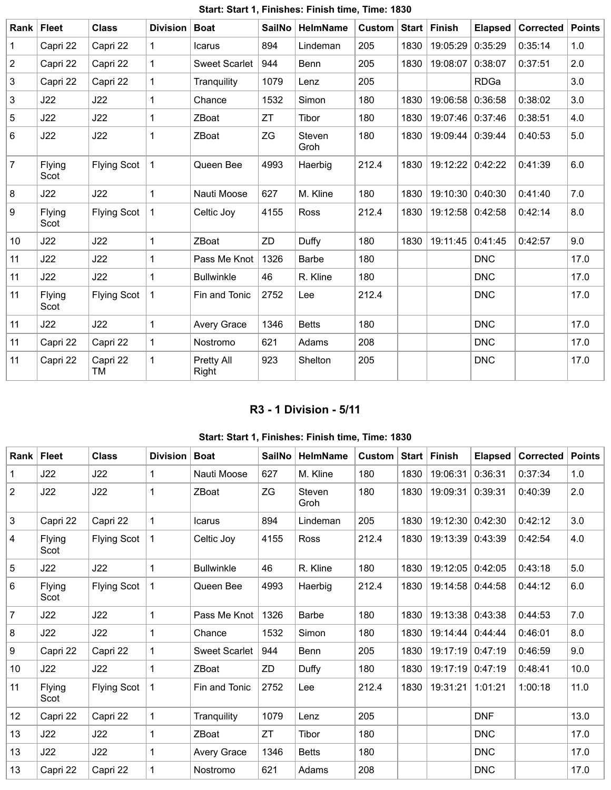| Rank           | Fleet          | <b>Class</b>       | <b>Division</b> | <b>Boat</b>          | <b>SailNo</b> | <b>HelmName</b> | Custom | Start | <b>Finish</b> | <b>Elapsed</b> | Corrected | <b>Points</b> |
|----------------|----------------|--------------------|-----------------|----------------------|---------------|-----------------|--------|-------|---------------|----------------|-----------|---------------|
| $\mathbf{1}$   | Capri 22       | Capri 22           | 1               | <b>Icarus</b>        | 894           | Lindeman        | 205    | 1830  | 19:05:29      | 0:35:29        | 0:35:14   | 1.0           |
| $\overline{2}$ | Capri 22       | Capri 22           | $\mathbf 1$     | <b>Sweet Scarlet</b> | 944           | Benn            | 205    | 1830  | 19:08:07      | 0:38:07        | 0:37:51   | 2.0           |
| 3              | Capri 22       | Capri 22           | 1               | Tranquility          | 1079          | Lenz            | 205    |       |               | <b>RDGa</b>    |           | 3.0           |
| 3              | J22            | J22                | 1               | Chance               | 1532          | Simon           | 180    | 1830  | 19:06:58      | 0:36:58        | 0:38:02   | 3.0           |
| $\overline{5}$ | J22            | J22                | $\mathbf{1}$    | ZBoat                | ZT            | Tibor           | 180    | 1830  | 19:07:46      | 0:37:46        | 0:38:51   | 4.0           |
| 6              | J22            | J22                | 1               | ZBoat                | ZG            | Steven<br>Groh  | 180    | 1830  | 19:09:44      | 0:39:44        | 0:40:53   | 5.0           |
| $\overline{7}$ | Flying<br>Scot | <b>Flying Scot</b> | 1               | Queen Bee            | 4993          | Haerbig         | 212.4  | 1830  | 19:12:22      | 0:42:22        | 0:41:39   | 6.0           |
| 8              | J22            | J22                | 1               | Nauti Moose          | 627           | M. Kline        | 180    | 1830  | 19:10:30      | 0:40:30        | 0:41:40   | 7.0           |
| 9              | Flying<br>Scot | <b>Flying Scot</b> | 1               | Celtic Joy           | 4155          | <b>Ross</b>     | 212.4  | 1830  | 19:12:58      | 0:42:58        | 0:42:14   | 8.0           |
| 10             | J22            | J22                | $\mathbf{1}$    | ZBoat                | ZD            | Duffy           | 180    | 1830  | 19:11:45      | 0:41:45        | 0:42:57   | 9.0           |
| 11             | J22            | J22                | 1               | Pass Me Knot         | 1326          | <b>Barbe</b>    | 180    |       |               | <b>DNC</b>     |           | 17.0          |
| 11             | J22            | J22                | 1               | <b>Bullwinkle</b>    | 46            | R. Kline        | 180    |       |               | <b>DNC</b>     |           | 17.0          |
| 11             | Flying<br>Scot | <b>Flying Scot</b> | 1               | Fin and Tonic        | 2752          | Lee             | 212.4  |       |               | <b>DNC</b>     |           | 17.0          |
| 11             | J22            | J22                | 1               | <b>Avery Grace</b>   | 1346          | <b>Betts</b>    | 180    |       |               | <b>DNC</b>     |           | 17.0          |
| 11             | Capri 22       | Capri 22           | 1               | Nostromo             | 621           | Adams           | 208    |       |               | <b>DNC</b>     |           | 17.0          |
| 11             | Capri 22       | Capri 22<br>ТM     | $\mathbf{1}$    | Pretty All<br>Right  | 923           | Shelton         | 205    |       |               | <b>DNC</b>     |           | 17.0          |

# **Start: Start 1, Finishes: Finish time, Time: 1830**

## **R3 - 1 Division - 5/11**

# **Start: Start 1, Finishes: Finish time, Time: 1830**

<span id="page-2-0"></span>

| <b>Rank</b> | Fleet          | <b>Class</b>       | <b>Division</b> | <b>Boat</b>          | <b>SailNo</b> | <b>HelmName</b> | <b>Custom</b> | Start | <b>Finish</b> | <b>Elapsed</b> | <b>Corrected</b> | <b>Points</b> |
|-------------|----------------|--------------------|-----------------|----------------------|---------------|-----------------|---------------|-------|---------------|----------------|------------------|---------------|
| 1           | J22            | J22                | 1               | Nauti Moose          | 627           | M. Kline        | 180           | 1830  | 19:06:31      | 0:36:31        | 0:37:34          | 1.0           |
| 2           | J22            | J22                | 1               | ZBoat                | ZG            | Steven<br>Groh  | 180           | 1830  | 19:09:31      | 0:39:31        | 0:40:39          | 2.0           |
| 3           | Capri 22       | Capri 22           | 1               | Icarus               | 894           | Lindeman        | 205           | 1830  | 19:12:30      | 0:42:30        | 0:42:12          | 3.0           |
| 4           | Flying<br>Scot | <b>Flying Scot</b> | 1               | Celtic Joy           | 4155          | <b>Ross</b>     | 212.4         | 1830  | 19:13:39      | 0:43:39        | 0:42:54          | 4.0           |
| 5           | J22            | J22                | 1               | <b>Bullwinkle</b>    | 46            | R. Kline        | 180           | 1830  | 19:12:05      | 0:42:05        | 0:43:18          | 5.0           |
| 6           | Flying<br>Scot | <b>Flying Scot</b> | 1               | Queen Bee            | 4993          | Haerbig         | 212.4         | 1830  | 19:14:58      | 0:44:58        | 0:44:12          | 6.0           |
| 7           | J22            | J22                | 1               | Pass Me Knot         | 1326          | <b>Barbe</b>    | 180           | 1830  | 19:13:38      | 0:43:38        | 0:44:53          | 7.0           |
| 8           | J22            | J22                | 1               | Chance               | 1532          | Simon           | 180           | 1830  | 19:14:44      | 0:44:44        | 0:46:01          | 8.0           |
| 9           | Capri 22       | Capri 22           | 1               | <b>Sweet Scarlet</b> | 944           | Benn            | 205           | 1830  | 19:17:19      | 0:47:19        | 0:46:59          | 9.0           |
| 10          | J22            | J22                | 1               | ZBoat                | ZD            | Duffy           | 180           | 1830  | 19:17:19      | 0:47:19        | 0:48:41          | 10.0          |
| 11          | Flying<br>Scot | <b>Flying Scot</b> | 1               | Fin and Tonic        | 2752          | Lee             | 212.4         | 1830  | 19:31:21      | 1:01:21        | 1:00:18          | 11.0          |
| 12          | Capri 22       | Capri 22           | 1               | Tranquility          | 1079          | Lenz            | 205           |       |               | <b>DNF</b>     |                  | 13.0          |
| 13          | J22            | J22                | 1               | ZBoat                | <b>ZT</b>     | Tibor           | 180           |       |               | <b>DNC</b>     |                  | 17.0          |
| 13          | J22            | J22                | 1               | Avery Grace          | 1346          | <b>Betts</b>    | 180           |       |               | <b>DNC</b>     |                  | 17.0          |
| 13          | Capri 22       | Capri 22           | 1               | Nostromo             | 621           | Adams           | 208           |       |               | <b>DNC</b>     |                  | 17.0          |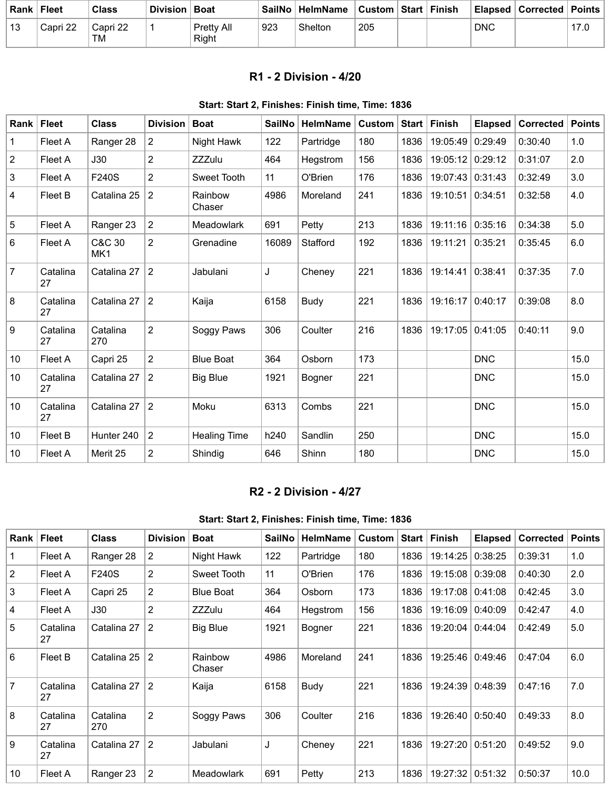| Rank l | <b>Fleet</b> | Class                 | Division   Boat |                            |     | ∣ SailNo ∣ HelmName | Custom   Start   Finish |  |            | ∣ Elapsed ∣ Corrected ∣ Points ∣ |  |
|--------|--------------|-----------------------|-----------------|----------------------------|-----|---------------------|-------------------------|--|------------|----------------------------------|--|
| 13     | Capri 22     | Capri 22<br><b>TM</b> |                 | <b>Pretty All</b><br>Right | 923 | Shelton             | 205                     |  | <b>DNC</b> |                                  |  |

### **R1 - 2 Division - 4/20**

#### **Start: Start 2, Finishes: Finish time, Time: 1836**

<span id="page-3-0"></span>

| Rank           | <b>Fleet</b>   | <b>Class</b>    | <b>Division</b> | <b>Boat</b>         | <b>SailNo</b> | <b>HelmName</b> | <b>Custom</b> | <b>Start</b> | <b>Finish</b> | <b>Elapsed</b> | <b>Corrected</b> | <b>Points</b> |
|----------------|----------------|-----------------|-----------------|---------------------|---------------|-----------------|---------------|--------------|---------------|----------------|------------------|---------------|
| $\mathbf 1$    | Fleet A        | Ranger 28       | $\overline{2}$  | Night Hawk          | 122           | Partridge       | 180           | 1836         | 19:05:49      | 0:29:49        | 0:30:40          | 1.0           |
| $\overline{c}$ | Fleet A        | J30             | $\overline{2}$  | <b>ZZZulu</b>       | 464           | Hegstrom        | 156           | 1836         | 19:05:12      | 0:29:12        | 0:31:07          | 2.0           |
| 3              | Fleet A        | F240S           | $\overline{c}$  | Sweet Tooth         | 11            | O'Brien         | 176           | 1836         | 19:07:43      | 0:31:43        | 0:32:49          | 3.0           |
| 4              | Fleet B        | Catalina 25     | $\overline{c}$  | Rainbow<br>Chaser   | 4986          | Moreland        | 241           | 1836         | 19:10:51      | 0:34:51        | 0:32:58          | 4.0           |
| 5              | Fleet A        | Ranger 23       | $\overline{c}$  | Meadowlark          | 691           | Petty           | 213           | 1836         | 19:11:16      | 0:35:16        | 0:34:38          | 5.0           |
| 6              | Fleet A        | C&C 30<br>MK1   | $\overline{c}$  | Grenadine           | 16089         | Stafford        | 192           | 1836         | 19:11:21      | 0:35:21        | 0:35:45          | 6.0           |
| $\overline{7}$ | Catalina<br>27 | Catalina 27     | $\overline{2}$  | Jabulani            | J             | Cheney          | 221           | 1836         | 19:14:41      | 0:38:41        | 0:37:35          | 7.0           |
| 8              | Catalina<br>27 | Catalina 27     | $\overline{2}$  | Kaija               | 6158          | Budy            | 221           | 1836         | 19:16:17      | 0:40:17        | 0:39:08          | 8.0           |
| 9              | Catalina<br>27 | Catalina<br>270 | $\overline{2}$  | Soggy Paws          | 306           | Coulter         | 216           | 1836         | 19:17:05      | 0:41:05        | 0:40:11          | 9.0           |
| 10             | Fleet A        | Capri 25        | $\overline{2}$  | <b>Blue Boat</b>    | 364           | Osborn          | 173           |              |               | <b>DNC</b>     |                  | 15.0          |
| 10             | Catalina<br>27 | Catalina 27     | $\overline{2}$  | <b>Big Blue</b>     | 1921          | Bogner          | 221           |              |               | <b>DNC</b>     |                  | 15.0          |
| 10             | Catalina<br>27 | Catalina 27     | $\overline{2}$  | Moku                | 6313          | Combs           | 221           |              |               | <b>DNC</b>     |                  | 15.0          |
| 10             | Fleet B        | Hunter 240      | $\overline{2}$  | <b>Healing Time</b> | h240          | Sandlin         | 250           |              |               | <b>DNC</b>     |                  | 15.0          |
| 10             | Fleet A        | Merit 25        | $\overline{2}$  | Shindig             | 646           | Shinn           | 180           |              |               | <b>DNC</b>     |                  | 15.0          |

# **R2 - 2 Division - 4/27**

#### **Start: Start 2, Finishes: Finish time, Time: 1836**

<span id="page-3-1"></span>

| Rank $ $       | <b>Fleet</b>   | <b>Class</b>    | <b>Division</b>       | <b>Boat</b>       | <b>SailNo</b> | <b>HelmName</b> | Custom |      | Start   Finish | <b>Elapsed</b> | <b>Corrected</b> | <b>Points</b> |
|----------------|----------------|-----------------|-----------------------|-------------------|---------------|-----------------|--------|------|----------------|----------------|------------------|---------------|
|                | Fleet A        | Ranger 28       | $\mathbf{2}^{\prime}$ | Night Hawk        | 122           | Partridge       | 180    | 1836 | 19:14:25       | 0:38:25        | 0:39:31          | 1.0           |
| $\overline{2}$ | Fleet A        | F240S           | $\overline{2}$        | Sweet Tooth       | 11            | O'Brien         | 176    | 1836 | 19:15:08       | 0:39:08        | 0:40:30          | 2.0           |
| 3              | Fleet A        | Capri 25        | $\overline{2}$        | <b>Blue Boat</b>  | 364           | Osborn          | 173    | 1836 | 19:17:08       | 0:41:08        | 0:42:45          | 3.0           |
| 4              | Fleet A        | J30             | $\overline{2}$        | <b>ZZZulu</b>     | 464           | Hegstrom        | 156    | 1836 | 19:16:09       | 0:40:09        | 0:42:47          | 4.0           |
| 5              | Catalina<br>27 | Catalina 27     | $\overline{2}$        | <b>Big Blue</b>   | 1921          | Bogner          | 221    | 1836 | 19:20:04       | 0:44:04        | 0:42:49          | 5.0           |
| 6              | Fleet B        | Catalina 25     | 2                     | Rainbow<br>Chaser | 4986          | Moreland        | 241    | 1836 | 19:25:46       | 0:49:46        | 0:47:04          | 6.0           |
| $\overline{7}$ | Catalina<br>27 | Catalina 27     | $\overline{2}$        | Kaija             | 6158          | Budy            | 221    | 1836 | 19:24:39       | 0:48:39        | 0:47:16          | 7.0           |
| 8              | Catalina<br>27 | Catalina<br>270 | $\overline{2}$        | Soggy Paws        | 306           | Coulter         | 216    | 1836 | 19:26:40       | 0:50:40        | 0:49:33          | 8.0           |
| 9              | Catalina<br>27 | Catalina 27     | 2                     | Jabulani          | J             | Cheney          | 221    | 1836 | 19:27:20       | 0:51:20        | 0:49:52          | 9.0           |
| 10             | Fleet A        | Ranger 23       | 2                     | <b>Meadowlark</b> | 691           | Petty           | 213    | 1836 | 19:27:32       | 0:51:32        | 0:50:37          | 10.0          |